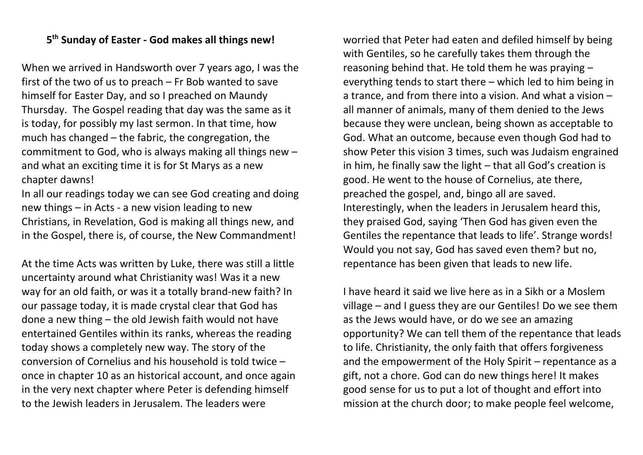## **5 th Sunday of Easter - God makes all things new!**

When we arrived in Handsworth over 7 years ago, I was the first of the two of us to preach – Fr Bob wanted to save himself for Easter Day, and so I preached on Maundy Thursday. The Gospel reading that day was the same as it is today, for possibly my last sermon. In that time, how much has changed – the fabric, the congregation, the commitment to God, who is always making all things new – and what an exciting time it is for St Marys as a new chapter dawns!

In all our readings today we can see God creating and doing new things – in Acts - a new vision leading to new Christians, in Revelation, God is making all things new, and in the Gospel, there is, of course, the New Commandment!

At the time Acts was written by Luke, there was still a little uncertainty around what Christianity was! Was it a new way for an old faith, or was it a totally brand-new faith? In our passage today, it is made crystal clear that God has done a new thing – the old Jewish faith would not have entertained Gentiles within its ranks, whereas the reading today shows a completely new way. The story of the conversion of Cornelius and his household is told twice – once in chapter 10 as an historical account, and once again in the very next chapter where Peter is defending himself to the Jewish leaders in Jerusalem. The leaders were

worried that Peter had eaten and defiled himself by being with Gentiles, so he carefully takes them through the reasoning behind that. He told them he was praying – everything tends to start there – which led to him being in a trance, and from there into a vision. And what a vision – all manner of animals, many of them denied to the Jews because they were unclean, being shown as acceptable to God. What an outcome, because even though God had to show Peter this vision 3 times, such was Judaism engrained in him, he finally saw the light – that all God's creation is good. He went to the house of Cornelius, ate there, preached the gospel, and, bingo all are saved. Interestingly, when the leaders in Jerusalem heard this, they praised God, saying 'Then God has given even the Gentiles the repentance that leads to life'. Strange words! Would you not say, God has saved even them? but no, repentance has been given that leads to new life.

I have heard it said we live here as in a Sikh or a Moslem village – and I guess they are our Gentiles! Do we see them as the Jews would have, or do we see an amazing opportunity? We can tell them of the repentance that leads to life. Christianity, the only faith that offers forgiveness and the empowerment of the Holy Spirit – repentance as a gift, not a chore. God can do new things here! It makes good sense for us to put a lot of thought and effort into mission at the church door; to make people feel welcome,